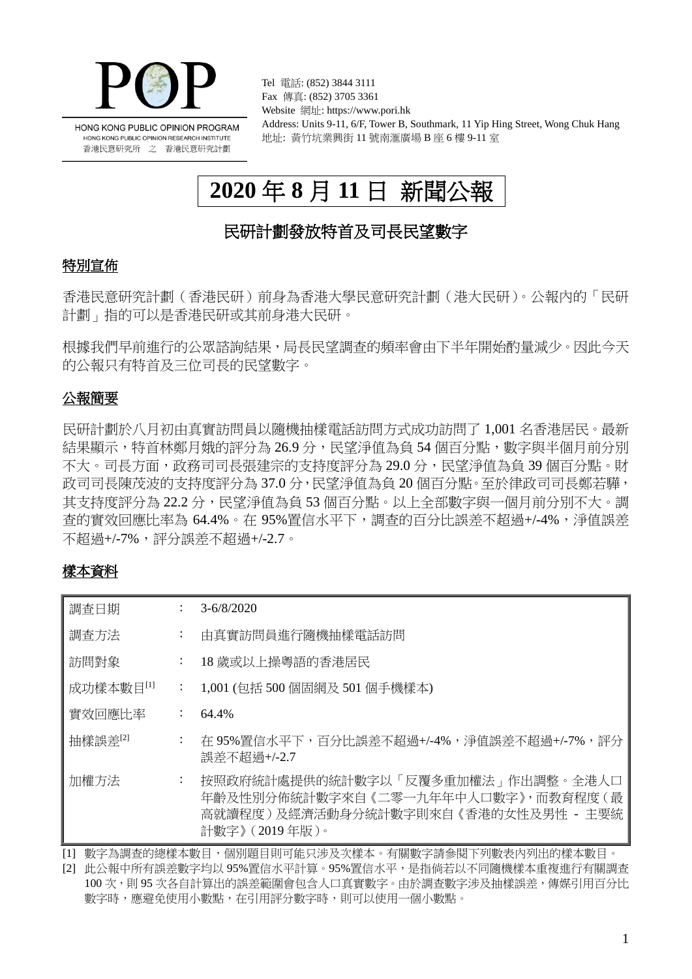

Tel 電話: (852) 3844 3111 Fax 傳真: (852) 3705 3361 Website 網址: https://www.pori.hk Address: Units 9-11, 6/F, Tower B, Southmark, 11 Yip Hing Street, Wong Chuk Hang 地址: 黃竹坑業興街 11 號南滙廣場 B 座 6 樓 9-11 室

# **2020** 年 **8** 月 **11** 日 新聞公報

## 民研計劃發放特首及司長民望數字

### 特別宣佈

香港民意研究計劃(香港民研)前身為香港大學民意研究計劃(港大民研)。公報內的「民研 計劃」指的可以是香港民研或其前身港大民研。

根據我們早前進行的公眾諮詢結果,局長民望調查的頻率會由下半年開始酌量減少。因此今天 的公報只有特首及三位司長的民望數字。

## 公報簡要

民研計劃於八月初由真實訪問員以隨機抽樣電話訪問方式成功訪問了 1,001 名香港居民。最新 結果顯示,特首林鄭月娥的評分為 26.9 分,民望淨值為負 54 個百分點,數字與半個月前分別 不大。司長方面,政務司司長張建宗的支持度評分為 29.0 分,民望淨值為負 39 個百分點。財 政司司長陳茂波的支持度評分為 37.0 分,民望淨值為負 20 個百分點。至於律政司司長鄭若驊, 其支持度評分為 22.2 分,民望淨值為負 53 個百分點。以上全部數字與一個月前分別不大。調 查的實效回應比率為 64.4%。在 95%置信水平下,調查的百分比誤差不超過+/-4%,淨值誤差 不超過+/-7%,評分誤差不超過+/-2.7。

## 樣本資料

| 調査日期      |                           | $3 - 6/8/2020$                                                                                                                       |
|-----------|---------------------------|--------------------------------------------------------------------------------------------------------------------------------------|
| 調査方法      | $\ddot{\phantom{a}}$      | 由真實訪問員進行隨機抽樣電話訪問                                                                                                                     |
| 訪問對象      | ÷                         | 18 歲或以上操粵語的香港居民                                                                                                                      |
| 成功樣本數目[1] | $\mathbb{Z}^{\mathbb{Z}}$ | 1,001 (包括 500 個固網及 501 個手機樣本)                                                                                                        |
| 實效回應比率    | ÷                         | 64.4%                                                                                                                                |
| 抽樣誤差      | ÷                         | 在 95%置信水平下,百分比誤差不超過+/-4%,淨值誤差不超過+/-7%,評分<br>誤差不超過+/-2.7                                                                              |
| 加權方法      | ÷                         | 按照政府統計處提供的統計數字以「反覆多重加權法」作出調整。全港人口<br>年齡及性別分佈統計數字來自《二零一九年年中人口數字》,而教育程度(最<br>高就讀程度 ) 及經濟活動身分統計數字則來自 《香港的女性及男性 - 主要統<br>計數字》 (2019年版 )。 |

[1] 數字為調查的總樣本數目,個別題目則可能只涉及次樣本。有關數字請參閱下列數表內列出的樣本數目。

[2] 此公報中所有誤差數字均以 95%置信水平計算。95%置信水平,是指倘若以不同隨機樣本重複進行有關調查 100 次,則 95 次各自計算出的誤差範圍會包含人口真實數字。由於調查數字涉及抽樣誤差,傳媒引用百分比 數字時,應避免使用小數點,在引用評分數字時,則可以使用一個小數點。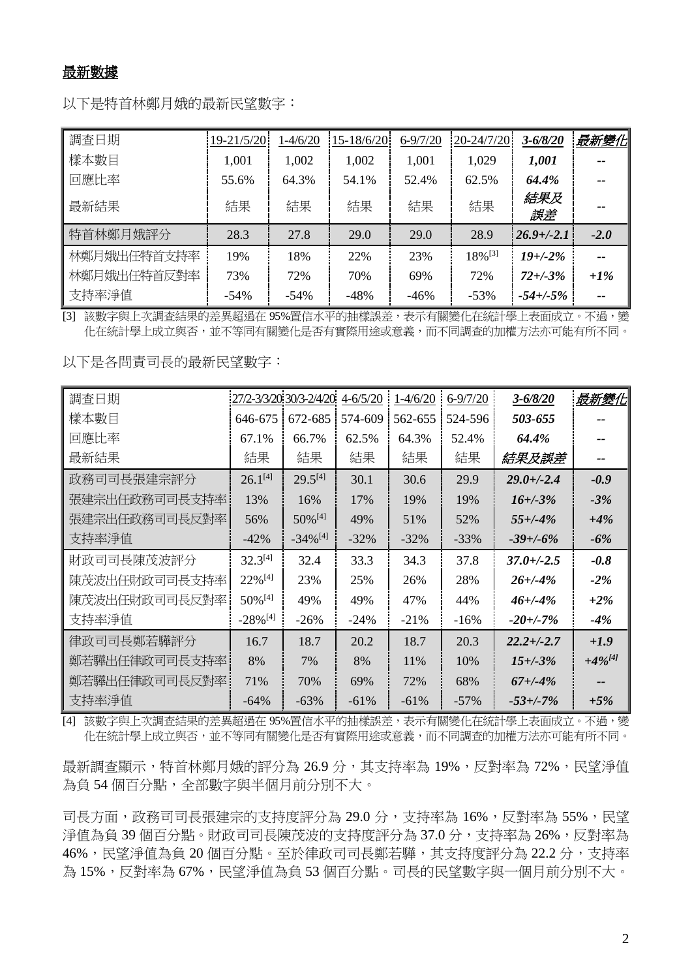### 最新數據

以下是特首林鄭月娥的最新民望數字:

| 調査日期        | 19-21/5/20 | 1-4/6/20 | 15-18/6/20 | $6 - 9/7/20$ | 20-24/7/20            | $3 - 6/8/20$    | 最新變化   |
|-------------|------------|----------|------------|--------------|-----------------------|-----------------|--------|
| 樣本數目        | 1,001      | 1,002    | 1,002      | 1,001        | 1,029                 | 1,001           |        |
| 回應比率        | 55.6%      | 64.3%    | 54.1%      | 52.4%        | 62.5%                 | 64.4%           |        |
| 最新結果        | 結果         | 結果       | 結果         | 結果           | 結果                    | 結果及<br>誤差       |        |
| 特首林鄭月娥評分    | 28.3       | 27.8     | 29.0       | 29.0         | 28.9                  | $26.9 + (-2.1)$ | $-2.0$ |
| 林鄭月娥出任特首支持率 | 19%        | 18%      | 22%        | 23%          | $18\%$ <sup>[3]</sup> | $19 + (-2%)$    |        |
| 林鄭月娥出任特首反對率 | 73%        | 72%      | 70%        | 69%          | 72%                   | $72 + (-3)$ %   | $+1\%$ |
| 支持率淨值       | $-54%$     | $-54%$   | $-48%$     | $-46%$       | $-53%$                | $-54 + (-5\%$   |        |

[3] 該數字與上次調查結果的差異超過在 95%置信水平的抽樣誤差,表示有關變化在統計學上表面成立。不過,變 化在統計學上成立與否,並不等同有關變化是否有實際用途或意義,而不同調查的加權方法亦可能有所不同。

以下是各問責司長的最新民望數字:

| 調查日期           |                        | 27/2-3/3/20 30/3-2/4/20 | $4 - 6/5/20$ | $1-4/6/20$ | $6 - 9/7/20$ | $3 - 6/8/20$    | 最新變化         |
|----------------|------------------------|-------------------------|--------------|------------|--------------|-----------------|--------------|
| 樣本數目           | 646-675                | 672-685                 | 574-609      | 562-655    | 524-596      | 503-655         |              |
| 回應比率           | 67.1%                  | 66.7%                   | 62.5%        | 64.3%      | 52.4%        | 64.4%           |              |
| 最新結果           | 結果                     | 結果                      | 結果           | 結果         | 結果           | 結果及誤差           |              |
| 政務司司長張建宗評分     | $26.1^{[4]}$           | $29.5^{[4]}$            | 30.1         | 30.6       | 29.9         | $29.0 + (-2.4)$ | $-0.9$       |
| 張建宗出任政務司司長支持率! | 13%                    | 16%                     | 17%          | 19%        | 19%          | $16 + (-3%)$    | $-3%$        |
| 張建宗出任政務司司長反對率  | 56%                    | $50\%$ <sup>[4]</sup>   | 49%          | 51%        | 52%          | $55 + (-4%)$    | $+4%$        |
| 支持率淨值          | $-42%$                 | $-34\%$ <sup>[4]</sup>  | $-32\%$      | $-32%$     | $-33%$       | $-39 + (-6%)$   | $-6\%$       |
| 財政司司長陳茂波評分     | $32.3^{[4]}$           | 32.4                    | 33.3         | 34.3       | 37.8         | $37.0 + (-2.5)$ | $-0.8$       |
| 陳茂波出任財政司司長支持率  | $22\%$ <sup>[4]</sup>  | 23%                     | 25%          | 26%        | 28%          | $26 + (-4%)$    | $-2\%$       |
| 陳茂波出任財政司司長反對率  | $50\%$ <sup>[4]</sup>  | 49%                     | 49%          | 47%        | 44%          | $46 + (-4%)$    | $+2\%$       |
| 支持率淨值          | $-28\%$ <sup>[4]</sup> | $-26%$                  | $-24%$       | $-21%$     | $-16%$       | $-20 + (-7%)$   | $-4\%$       |
| 律政司司長鄭若驊評分     | 16.7                   | 18.7                    | 20.2         | 18.7       | 20.3         | $22.2 + (-2.7)$ | $+1.9$       |
| 鄭若驊出任律政司司長支持率  | 8%                     | 7%                      | 8%           | 11%        | 10%          | $15 + (-3)$ %   | $+4\%^{[4]}$ |
| 鄭若驊出任律政司司長反對率! | 71%                    | 70%                     | 69%          | 72%        | 68%          | $67 + (-4%)$    |              |
| 支持率淨值          | $-64%$                 | $-63%$                  | $-61%$       | $-61%$     | $-57%$       | $-53 + (-7%)$   | $+5%$        |

[4] 該數字與上次調查結果的差異超過在 95%置信水平的抽樣誤差,表示有關變化在統計學上表面成立。不過,變 化在統計學上成立與否,並不等同有關變化是否有實際用途或意義,而不同調查的加權方法亦可能有所不同。

最新調查顯示,特首林鄭月娥的評分為 26.9 分,其支持率為 19%,反對率為 72%,民望淨值 為負54個百分點,全部數字與半個月前分別不大。

司長方面,政務司司長張建宗的支持度評分為 29.0 分,支持率為 16%,反對率為 55%,民望 淨值為負 39個百分點。財政司司長陳茂波的支持度評分為 37.0 分,支持率為 26%,反對率為 46%,民望淨值為負 20個百分點。至於律政司司長鄭若驊,其支持度評分為 22.2 分,支持率 為 15%,反對率為 67%,民望淨值為負 53 個百分點。司長的民望數字與一個月前分別不大。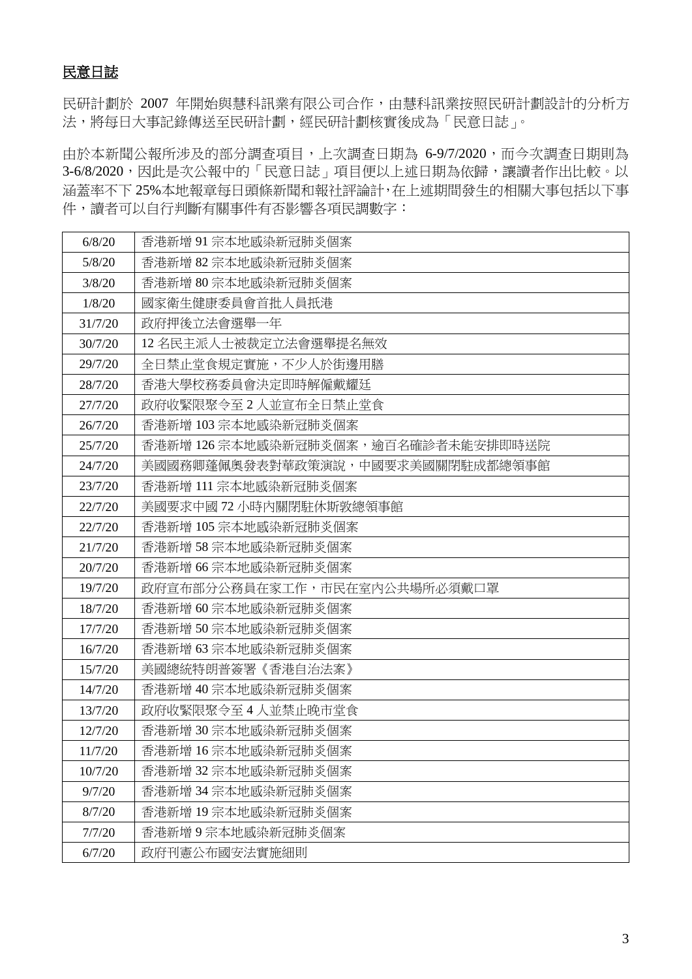## 民意日誌

民研計劃於 2007 年開始與慧科訊業有限公司合作,由慧科訊業按照民研計劃設計的分析方 法,將每日大事記錄傳送至民研計劃,經民研計劃核實後成為「民意日誌」。

由於本新聞公報所涉及的部分調查項目,上次調查日期為 6-9/7/2020,而今次調查日期則為 3-6/8/2020,因此是次公報中的「民意日誌」項目便以上述日期為依歸,讓讀者作出比較。以 涵蓋率不下 25%本地報章每日頭條新聞和報社評論計,在上述期間發生的相關大事包括以下事 件,讀者可以自行判斷有關事件有否影響各項民調數字:

| 6/8/20  | 香港新增 91 宗本地感染新冠肺炎個案                 |
|---------|-------------------------------------|
| 5/8/20  | 香港新增 82 宗本地感染新冠肺炎個案                 |
| 3/8/20  | 香港新增 80 宗本地感染新冠肺炎個案                 |
| 1/8/20  | 國家衛生健康委員會首批人員扺港                     |
| 31/7/20 | 政府押後立法會選舉一年                         |
| 30/7/20 | 12 名民主派人士被裁定立法會選舉提名無效               |
| 29/7/20 | 全日禁止堂食規定實施,不少人於街邊用膳                 |
| 28/7/20 | 香港大學校務委員會決定即時解僱戴耀廷                  |
| 27/7/20 | 政府收緊限聚令至2人並宣布全日禁止堂食                 |
| 26/7/20 | 香港新增 103 宗本地感染新冠肺炎個案                |
| 25/7/20 | 香港新增 126 宗本地感染新冠肺炎個案,逾百名確診者未能安排即時送院 |
| 24/7/20 | 美國國務卿蓬佩奧發表對華政策演說,中國要求美國關閉駐成都總領事館    |
| 23/7/20 | 香港新增 111 宗本地感染新冠肺炎個案                |
| 22/7/20 | 美國要求中國 72 小時內關閉駐休斯敦總領事館             |
| 22/7/20 | 香港新增 105 宗本地感染新冠肺炎個案                |
| 21/7/20 | 香港新增58宗本地感染新冠肺炎個案                   |
| 20/7/20 | 香港新增 66 宗本地感染新冠肺炎個案                 |
| 19/7/20 | 政府宣布部分公務員在家工作,市民在室内公共場所必須戴口罩        |
| 18/7/20 | 香港新增 60 宗本地感染新冠肺炎個案                 |
| 17/7/20 | 香港新增 50 宗本地感染新冠肺炎個案                 |
| 16/7/20 | 香港新增 63 宗本地感染新冠肺炎個案                 |
| 15/7/20 | 美國總統特朗普簽署《香港自治法案》                   |
| 14/7/20 | 香港新增 40 宗本地感染新冠肺炎個案                 |
| 13/7/20 | 政府收緊限聚令至4人並禁止晚市堂食                   |
| 12/7/20 | 香港新增 30 宗本地感染新冠肺炎個案                 |
| 11/7/20 | 香港新增 16 宗本地感染新冠肺炎個案                 |
| 10/7/20 | 香港新增 32 宗本地感染新冠肺炎個案                 |
| 9/7/20  | 香港新增 34 宗本地感染新冠肺炎個案                 |
| 8/7/20  | 香港新增 19 宗本地感染新冠肺炎個案                 |
| 7/7/20  | 香港新增9宗本地感染新冠肺炎個案                    |
| 6/7/20  | 政府刊憲公布國安法實施細則                       |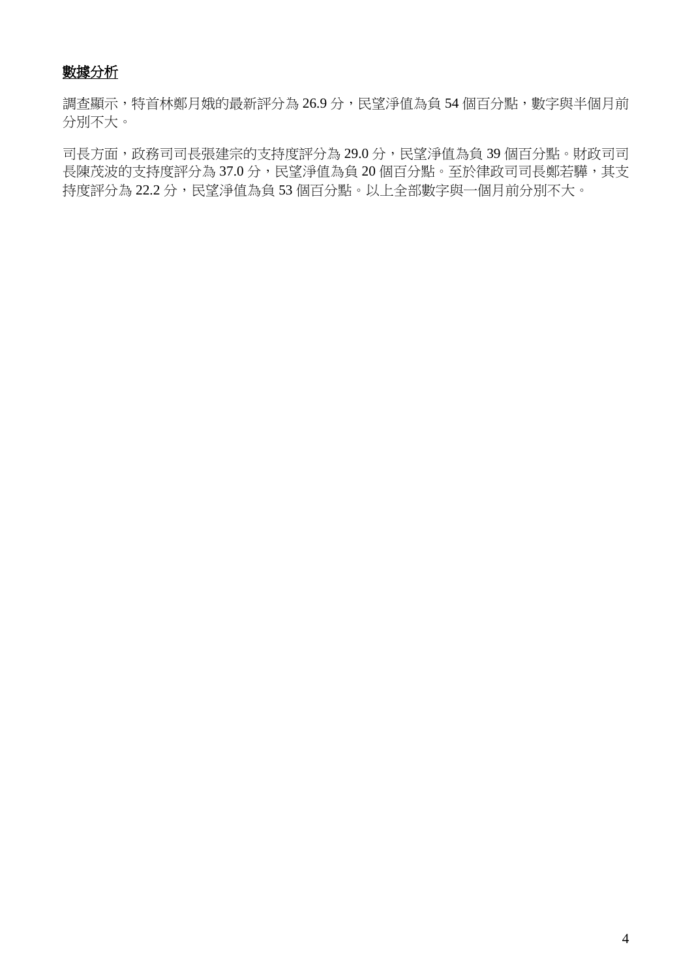## 數據分析

調查顯示,特首林鄭月娥的最新評分為 26.9 分,民望淨值為負 54 個百分點,數字與半個月前 分別不大。

司長方面,政務司司長張建宗的支持度評分為 29.0 分,民望淨值為負 39 個百分點。財政司司 長陳茂波的支持度評分為 37.0 分,民望淨值為負 20 個百分點。至於律政司司長鄭若驊,其支 持度評分為 22.2 分,民望淨值為負 53 個百分點。以上全部數字與一個月前分別不大。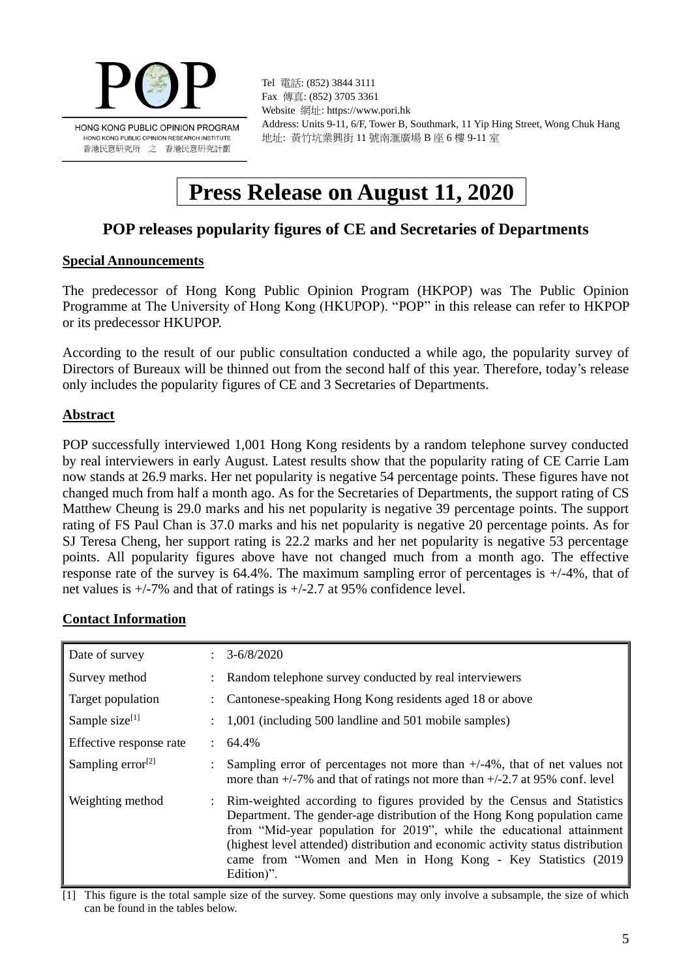

Tel 電話: (852) 3844 3111 Fax 傳真: (852) 3705 3361 Website 網址: https://www.pori.hk Address: Units 9-11, 6/F, Tower B, Southmark, 11 Yip Hing Street, Wong Chuk Hang 地址: 黃竹坑業興街 11 號南滙廣場 B 座 6 樓 9-11 室

## **Press Release on August 11, 2020**

## **POP releases popularity figures of CE and Secretaries of Departments**

### **Special Announcements**

The predecessor of Hong Kong Public Opinion Program (HKPOP) was The Public Opinion Programme at The University of Hong Kong (HKUPOP). "POP" in this release can refer to HKPOP or its predecessor HKUPOP.

According to the result of our public consultation conducted a while ago, the popularity survey of Directors of Bureaux will be thinned out from the second half of this year. Therefore, today's release only includes the popularity figures of CE and 3 Secretaries of Departments.

### **Abstract**

POP successfully interviewed 1,001 Hong Kong residents by a random telephone survey conducted by real interviewers in early August. Latest results show that the popularity rating of CE Carrie Lam now stands at 26.9 marks. Her net popularity is negative 54 percentage points. These figures have not changed much from half a month ago. As for the Secretaries of Departments, the support rating of CS Matthew Cheung is 29.0 marks and his net popularity is negative 39 percentage points. The support rating of FS Paul Chan is 37.0 marks and his net popularity is negative 20 percentage points. As for SJ Teresa Cheng, her support rating is 22.2 marks and her net popularity is negative 53 percentage points. All popularity figures above have not changed much from a month ago. The effective response rate of the survey is  $64.4\%$ . The maximum sampling error of percentages is  $+/-4\%$ , that of net values is +/-7% and that of ratings is +/-2.7 at 95% confidence level.

### **Contact Information**

| Date of survey                | $3 - 6/8/2020$                                                                                                                                                                                                                                                                                                                                                                                   |
|-------------------------------|--------------------------------------------------------------------------------------------------------------------------------------------------------------------------------------------------------------------------------------------------------------------------------------------------------------------------------------------------------------------------------------------------|
| Survey method                 | : Random telephone survey conducted by real interviewers                                                                                                                                                                                                                                                                                                                                         |
| Target population             | Cantonese-speaking Hong Kong residents aged 18 or above                                                                                                                                                                                                                                                                                                                                          |
| Sample size $[1]$             | 1,001 (including 500 landline and 501 mobile samples)                                                                                                                                                                                                                                                                                                                                            |
| Effective response rate       | $64.4\%$                                                                                                                                                                                                                                                                                                                                                                                         |
| Sampling error <sup>[2]</sup> | Sampling error of percentages not more than $+/-4\%$ , that of net values not<br>more than $+/-7\%$ and that of ratings not more than $+/-2.7$ at 95% conf. level                                                                                                                                                                                                                                |
| Weighting method              | : Rim-weighted according to figures provided by the Census and Statistics<br>Department. The gender-age distribution of the Hong Kong population came<br>from "Mid-year population for 2019", while the educational attainment<br>(highest level attended) distribution and economic activity status distribution<br>came from "Women and Men in Hong Kong - Key Statistics (2019)<br>Edition)". |

[1] This figure is the total sample size of the survey. Some questions may only involve a subsample, the size of which can be found in the tables below.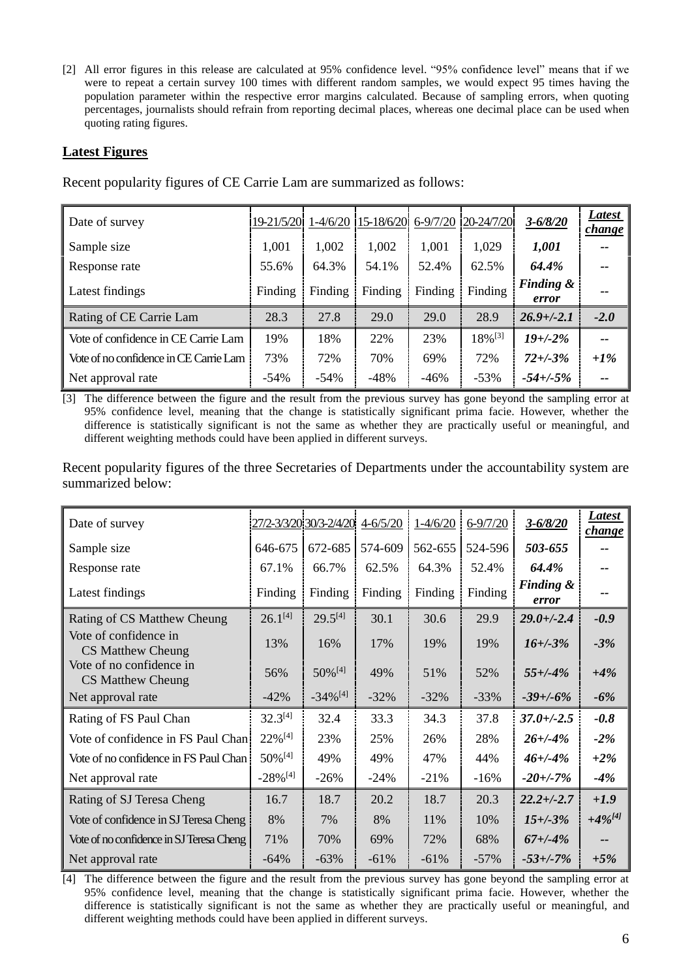[2] All error figures in this release are calculated at 95% confidence level. "95% confidence level" means that if we were to repeat a certain survey 100 times with different random samples, we would expect 95 times having the population parameter within the respective error margins calculated. Because of sampling errors, when quoting percentages, journalists should refrain from reporting decimal places, whereas one decimal place can be used when quoting rating figures.

### **Latest Figures**

| Date of survey                         | 19-21/5/20 1-4/6/20 |         |         |         | $15-18/6/20$ 6-9/7/20 20-24/7/20 | $3 - 6/8/20$       | Latest<br>change <sup>r</sup> |
|----------------------------------------|---------------------|---------|---------|---------|----------------------------------|--------------------|-------------------------------|
| Sample size                            | 1,001               | 1,002   | 1,002   | 1,001   | 1,029                            | 1,001              | --                            |
| Response rate                          | 55.6%               | 64.3%   | 54.1%   | 52.4%   | 62.5%                            | 64.4%              | --                            |
| Latest findings                        | Finding             | Finding | Finding | Finding | Finding                          | Finding &<br>error | --                            |
| Rating of CE Carrie Lam                | 28.3                | 27.8    | 29.0    | 29.0    | 28.9                             | $26.9 + (-2.1)$    | $-2.0$                        |
| Vote of confidence in CE Carrie Lam    | 19%                 | 18%     | 22%     | 23%     | $18\%$ <sup>[3]</sup>            | $19 + (-2%)$       | $- -$                         |
| Vote of no confidence in CE Carrie Lam | 73%                 | 72%     | 70%     | 69%     | 72%                              | $72 + (-3)$ %      | $+1\%$                        |
| Net approval rate                      | $-54%$              | $-54\%$ | $-48%$  | $-46%$  | $-53%$                           | $-54 + (-5\%$      | --                            |

Recent popularity figures of CE Carrie Lam are summarized as follows:

[3] The difference between the figure and the result from the previous survey has gone beyond the sampling error at 95% confidence level, meaning that the change is statistically significant prima facie. However, whether the difference is statistically significant is not the same as whether they are practically useful or meaningful, and different weighting methods could have been applied in different surveys.

Recent popularity figures of the three Secretaries of Departments under the accountability system are summarized below:

| Date of survey                                       |                        | 27/2-3/3/20 30/3-2/4/20 | $4 - 6/5/20$ | $1 - 4/6/20$ | $6 - 9/7/20$ | $3 - 6/8/20$                  | Latest<br>change |
|------------------------------------------------------|------------------------|-------------------------|--------------|--------------|--------------|-------------------------------|------------------|
| Sample size                                          | 646-675                | 672-685                 | 574-609      | 562-655      | 524-596      | 503-655                       |                  |
| Response rate                                        | 67.1%                  | 66.7%                   | 62.5%        | 64.3%        | 52.4%        | 64.4%                         | --               |
| Latest findings                                      | Finding                | Finding                 | Finding      | Finding      | Finding      | <b>Finding &amp;</b><br>error | --               |
| Rating of CS Matthew Cheung                          | $26.1^{[4]}$           | $29.5^{[4]}$            | 30.1         | 30.6         | 29.9         | $29.0 + (-2.4)$               | $-0.9$           |
| Vote of confidence in<br>CS Matthew Cheung           | 13%                    | 16%                     | 17%          | 19%          | 19%          | $16 + (-3%)$                  | $-3%$            |
| Vote of no confidence in<br><b>CS Matthew Cheung</b> | 56%                    | $50\%$ <sup>[4]</sup>   | 49%          | 51%          | 52%          | $55 + (-4%)$                  | $+4%$            |
| Net approval rate                                    | $-42%$                 | $-34\%$ <sup>[4]</sup>  | $-32%$       | $-32%$       | $-33%$       | $-39 + (-6%)$                 | $-6%$            |
| Rating of FS Paul Chan                               | $32.3^{[4]}$           | 32.4                    | 33.3         | 34.3         | 37.8         | $37.0 + (-2.5)$               | $-0.8$           |
| Vote of confidence in FS Paul Chan.                  | 22%[4]                 | 23%                     | 25%          | 26%          | 28%          | $26 + (-4%)$                  | $-2\%$           |
| Vote of no confidence in FS Paul Chan                | 50% [4]                | 49%                     | 49%          | 47%          | 44%          | $46 + (-4%)$                  | $+2\%$           |
| Net approval rate                                    | $-28\%$ <sup>[4]</sup> | $-26%$                  | $-24%$       | $-21%$       | $-16%$       | $-20 + (-7%)$                 | $-4%$            |
| Rating of SJ Teresa Cheng                            | 16.7                   | 18.7                    | 20.2         | 18.7         | 20.3         | $22.2 + (-2.7)$               | $+1.9$           |
| Vote of confidence in SJ Teresa Cheng                | 8%                     | 7%                      | 8%           | 11%          | 10%          | $15 + (-3%)$                  | $+4\%^{[4]}$     |
| Vote of no confidence in SJ Teresa Cheng             | 71%                    | 70%                     | 69%          | 72%          | 68%          | $67 + (-4%)$                  |                  |
| Net approval rate                                    | $-64%$                 | $-63%$                  | $-61%$       | $-61%$       | $-57%$       | $-53 + (-7%)$                 | $+5%$            |

[4] The difference between the figure and the result from the previous survey has gone beyond the sampling error at 95% confidence level, meaning that the change is statistically significant prima facie. However, whether the difference is statistically significant is not the same as whether they are practically useful or meaningful, and different weighting methods could have been applied in different surveys.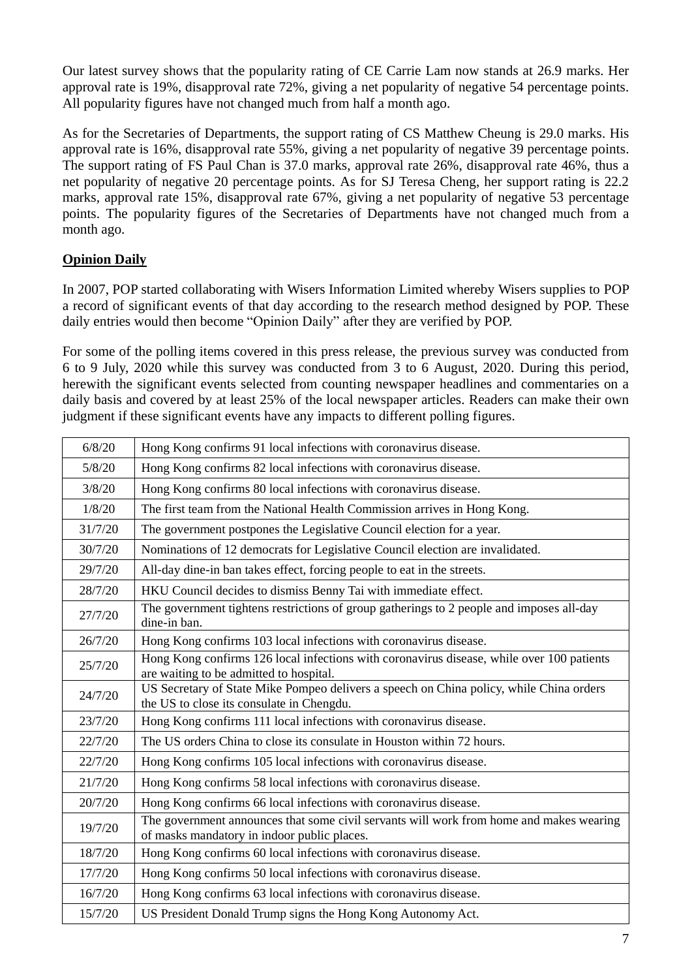Our latest survey shows that the popularity rating of CE Carrie Lam now stands at 26.9 marks. Her approval rate is 19%, disapproval rate 72%, giving a net popularity of negative 54 percentage points. All popularity figures have not changed much from half a month ago.

As for the Secretaries of Departments, the support rating of CS Matthew Cheung is 29.0 marks. His approval rate is 16%, disapproval rate 55%, giving a net popularity of negative 39 percentage points. The support rating of FS Paul Chan is 37.0 marks, approval rate 26%, disapproval rate 46%, thus a net popularity of negative 20 percentage points. As for SJ Teresa Cheng, her support rating is 22.2 marks, approval rate 15%, disapproval rate 67%, giving a net popularity of negative 53 percentage points. The popularity figures of the Secretaries of Departments have not changed much from a month ago.

### **Opinion Daily**

In 2007, POP started collaborating with Wisers Information Limited whereby Wisers supplies to POP a record of significant events of that day according to the research method designed by POP. These daily entries would then become "Opinion Daily" after they are verified by POP.

For some of the polling items covered in this press release, the previous survey was conducted from 6 to 9 July, 2020 while this survey was conducted from 3 to 6 August, 2020. During this period, herewith the significant events selected from counting newspaper headlines and commentaries on a daily basis and covered by at least 25% of the local newspaper articles. Readers can make their own judgment if these significant events have any impacts to different polling figures.

| 6/8/20  | Hong Kong confirms 91 local infections with coronavirus disease.                                                                       |
|---------|----------------------------------------------------------------------------------------------------------------------------------------|
| 5/8/20  | Hong Kong confirms 82 local infections with coronavirus disease.                                                                       |
| 3/8/20  | Hong Kong confirms 80 local infections with coronavirus disease.                                                                       |
| 1/8/20  | The first team from the National Health Commission arrives in Hong Kong.                                                               |
| 31/7/20 | The government postpones the Legislative Council election for a year.                                                                  |
| 30/7/20 | Nominations of 12 democrats for Legislative Council election are invalidated.                                                          |
| 29/7/20 | All-day dine-in ban takes effect, forcing people to eat in the streets.                                                                |
| 28/7/20 | HKU Council decides to dismiss Benny Tai with immediate effect.                                                                        |
| 27/7/20 | The government tightens restrictions of group gatherings to 2 people and imposes all-day<br>dine-in ban.                               |
| 26/7/20 | Hong Kong confirms 103 local infections with coronavirus disease.                                                                      |
| 25/7/20 | Hong Kong confirms 126 local infections with coronavirus disease, while over 100 patients<br>are waiting to be admitted to hospital.   |
| 24/7/20 | US Secretary of State Mike Pompeo delivers a speech on China policy, while China orders<br>the US to close its consulate in Chengdu.   |
| 23/7/20 | Hong Kong confirms 111 local infections with coronavirus disease.                                                                      |
| 22/7/20 | The US orders China to close its consulate in Houston within 72 hours.                                                                 |
| 22/7/20 | Hong Kong confirms 105 local infections with coronavirus disease.                                                                      |
| 21/7/20 | Hong Kong confirms 58 local infections with coronavirus disease.                                                                       |
| 20/7/20 | Hong Kong confirms 66 local infections with coronavirus disease.                                                                       |
| 19/7/20 | The government announces that some civil servants will work from home and makes wearing<br>of masks mandatory in indoor public places. |
| 18/7/20 | Hong Kong confirms 60 local infections with coronavirus disease.                                                                       |
| 17/7/20 | Hong Kong confirms 50 local infections with coronavirus disease.                                                                       |
| 16/7/20 | Hong Kong confirms 63 local infections with coronavirus disease.                                                                       |
| 15/7/20 | US President Donald Trump signs the Hong Kong Autonomy Act.                                                                            |